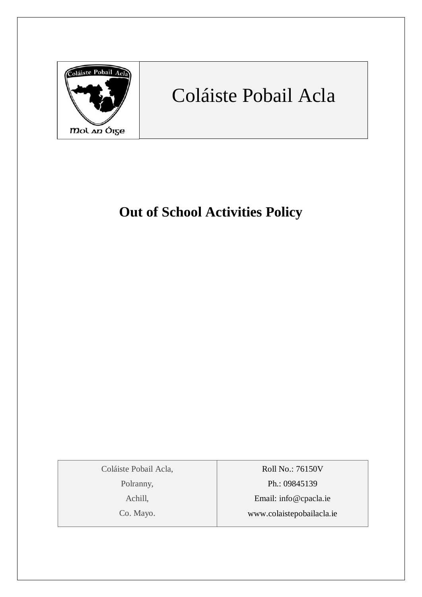

# Coláiste Pobail Acla

# **Out of School Activities Policy**

Coláiste Pobail Acla,

Polranny,

Achill,

Co. Mayo.

Roll No.: 76150V Ph.: 09845139 Email: [info@cpacla.ie](mailto:info@cpacla.ie) www.colaistepobailacla.ie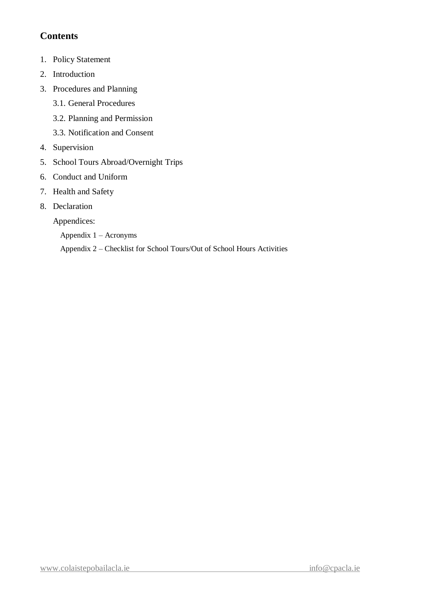# **Contents**

- 1. Policy Statement
- 2. Introduction
- 3. Procedures and Planning
	- 3.1. General Procedures
	- 3.2. Planning and Permission
	- 3.3. Notification and Consent
- 4. Supervision
- 5. School Tours Abroad/Overnight Trips
- 6. Conduct and Uniform
- 7. Health and Safety
- 8. Declaration

Appendices:

Appendix 1 – Acronyms

Appendix 2 – Checklist for School Tours/Out of School Hours Activities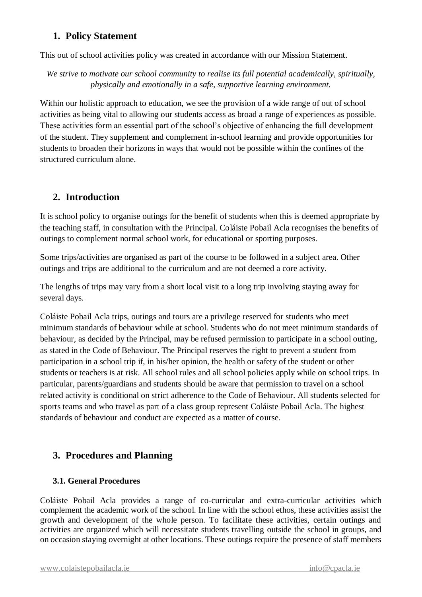#### **1. Policy Statement**

This out of school activities policy was created in accordance with our Mission Statement.

*We strive to motivate our school community to realise its full potential academically, spiritually, physically and emotionally in a safe, supportive learning environment.*

Within our holistic approach to education, we see the provision of a wide range of out of school activities as being vital to allowing our students access as broad a range of experiences as possible. These activities form an essential part of the school's objective of enhancing the full development of the student. They supplement and complement in-school learning and provide opportunities for students to broaden their horizons in ways that would not be possible within the confines of the structured curriculum alone.

#### **2. Introduction**

It is school policy to organise outings for the benefit of students when this is deemed appropriate by the teaching staff, in consultation with the Principal. Coláiste Pobail Acla recognises the benefits of outings to complement normal school work, for educational or sporting purposes.

Some trips/activities are organised as part of the course to be followed in a subject area. Other outings and trips are additional to the curriculum and are not deemed a core activity.

The lengths of trips may vary from a short local visit to a long trip involving staying away for several days.

Coláiste Pobail Acla trips, outings and tours are a privilege reserved for students who meet minimum standards of behaviour while at school. Students who do not meet minimum standards of behaviour, as decided by the Principal, may be refused permission to participate in a school outing, as stated in the Code of Behaviour. The Principal reserves the right to prevent a student from participation in a school trip if, in his/her opinion, the health or safety of the student or other students or teachers is at risk. All school rules and all school policies apply while on school trips. In particular, parents/guardians and students should be aware that permission to travel on a school related activity is conditional on strict adherence to the Code of Behaviour. All students selected for sports teams and who travel as part of a class group represent Coláiste Pobail Acla. The highest standards of behaviour and conduct are expected as a matter of course.

# **3. Procedures and Planning**

#### **3.1. General Procedures**

Coláiste Pobail Acla provides a range of co-curricular and extra-curricular activities which complement the academic work of the school. In line with the school ethos, these activities assist the growth and development of the whole person. To facilitate these activities, certain outings and activities are organized which will necessitate students travelling outside the school in groups, and on occasion staying overnight at other locations. These outings require the presence of staff members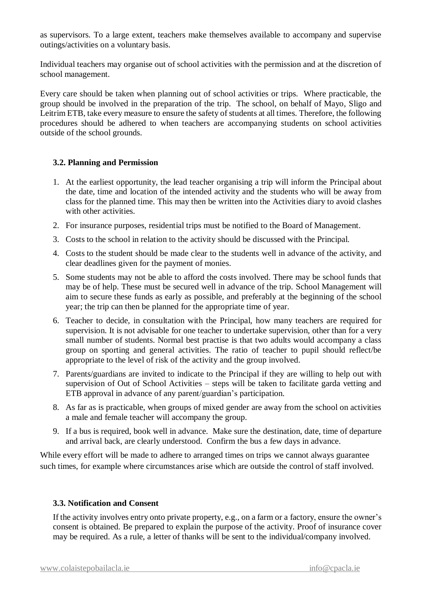as supervisors. To a large extent, teachers make themselves available to accompany and supervise outings/activities on a voluntary basis.

Individual teachers may organise out of school activities with the permission and at the discretion of school management.

Every care should be taken when planning out of school activities or trips. Where practicable, the group should be involved in the preparation of the trip. The school, on behalf of Mayo, Sligo and Leitrim ETB, take every measure to ensure the safety of students at all times. Therefore, the following procedures should be adhered to when teachers are accompanying students on school activities outside of the school grounds.

#### **3.2. Planning and Permission**

- 1. At the earliest opportunity, the lead teacher organising a trip will inform the Principal about the date, time and location of the intended activity and the students who will be away from class for the planned time. This may then be written into the Activities diary to avoid clashes with other activities.
- 2. For insurance purposes, residential trips must be notified to the Board of Management.
- 3. Costs to the school in relation to the activity should be discussed with the Principal.
- 4. Costs to the student should be made clear to the students well in advance of the activity, and clear deadlines given for the payment of monies.
- 5. Some students may not be able to afford the costs involved. There may be school funds that may be of help. These must be secured well in advance of the trip. School Management will aim to secure these funds as early as possible, and preferably at the beginning of the school year; the trip can then be planned for the appropriate time of year.
- 6. Teacher to decide, in consultation with the Principal, how many teachers are required for supervision. It is not advisable for one teacher to undertake supervision, other than for a very small number of students. Normal best practise is that two adults would accompany a class group on sporting and general activities. The ratio of teacher to pupil should reflect/be appropriate to the level of risk of the activity and the group involved.
- 7. Parents/guardians are invited to indicate to the Principal if they are willing to help out with supervision of Out of School Activities – steps will be taken to facilitate garda vetting and ETB approval in advance of any parent/guardian's participation.
- 8. As far as is practicable, when groups of mixed gender are away from the school on activities a male and female teacher will accompany the group.
- 9. If a bus is required, book well in advance. Make sure the destination, date, time of departure and arrival back, are clearly understood. Confirm the bus a few days in advance.

While every effort will be made to adhere to arranged times on trips we cannot always guarantee such times, for example where circumstances arise which are outside the control of staff involved.

#### **3.3. Notification and Consent**

If the activity involves entry onto private property, e.g., on a farm or a factory, ensure the owner's consent is obtained. Be prepared to explain the purpose of the activity. Proof of insurance cover may be required. As a rule, a letter of thanks will be sent to the individual/company involved.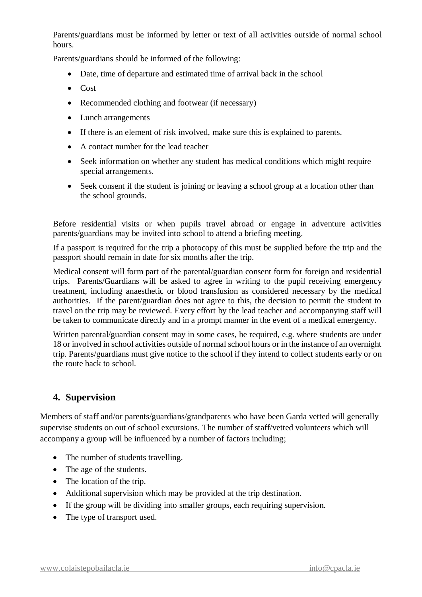Parents/guardians must be informed by letter or text of all activities outside of normal school hours.

Parents/guardians should be informed of the following:

- Date, time of departure and estimated time of arrival back in the school
- Cost
- Recommended clothing and footwear (if necessary)
- Lunch arrangements
- If there is an element of risk involved, make sure this is explained to parents.
- A contact number for the lead teacher
- Seek information on whether any student has medical conditions which might require special arrangements.
- Seek consent if the student is joining or leaving a school group at a location other than the school grounds.

Before residential visits or when pupils travel abroad or engage in adventure activities parents/guardians may be invited into school to attend a briefing meeting.

If a passport is required for the trip a photocopy of this must be supplied before the trip and the passport should remain in date for six months after the trip.

Medical consent will form part of the parental/guardian consent form for foreign and residential trips. Parents/Guardians will be asked to agree in writing to the pupil receiving emergency treatment, including anaesthetic or blood transfusion as considered necessary by the medical authorities. If the parent/guardian does not agree to this, the decision to permit the student to travel on the trip may be reviewed. Every effort by the lead teacher and accompanying staff will be taken to communicate directly and in a prompt manner in the event of a medical emergency.

Written parental/guardian consent may in some cases, be required, e.g. where students are under 18 or involved in school activities outside of normal school hours or in the instance of an overnight trip. Parents/guardians must give notice to the school if they intend to collect students early or on the route back to school.

# **4. Supervision**

Members of staff and/or parents/guardians/grandparents who have been Garda vetted will generally supervise students on out of school excursions. The number of staff/vetted volunteers which will accompany a group will be influenced by a number of factors including;

- The number of students travelling.
- The age of the students.
- The location of the trip.
- Additional supervision which may be provided at the trip destination.
- If the group will be dividing into smaller groups, each requiring supervision.
- The type of transport used.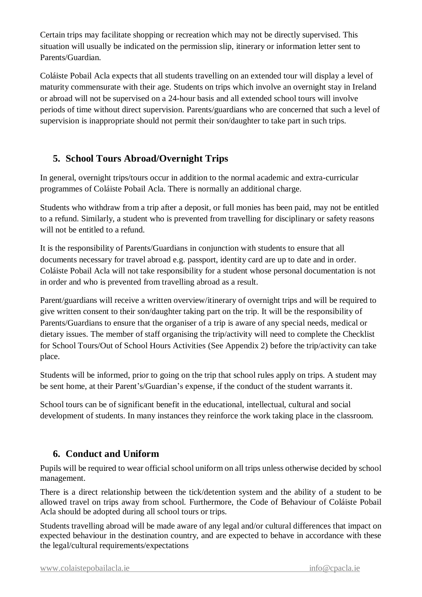Certain trips may facilitate shopping or recreation which may not be directly supervised. This situation will usually be indicated on the permission slip, itinerary or information letter sent to Parents/Guardian.

Coláiste Pobail Acla expects that all students travelling on an extended tour will display a level of maturity commensurate with their age. Students on trips which involve an overnight stay in Ireland or abroad will not be supervised on a 24-hour basis and all extended school tours will involve periods of time without direct supervision. Parents/guardians who are concerned that such a level of supervision is inappropriate should not permit their son/daughter to take part in such trips.

# **5. School Tours Abroad/Overnight Trips**

In general, overnight trips/tours occur in addition to the normal academic and extra-curricular programmes of Coláiste Pobail Acla. There is normally an additional charge.

Students who withdraw from a trip after a deposit, or full monies has been paid, may not be entitled to a refund. Similarly, a student who is prevented from travelling for disciplinary or safety reasons will not be entitled to a refund.

It is the responsibility of Parents/Guardians in conjunction with students to ensure that all documents necessary for travel abroad e.g. passport, identity card are up to date and in order. Coláiste Pobail Acla will not take responsibility for a student whose personal documentation is not in order and who is prevented from travelling abroad as a result.

Parent/guardians will receive a written overview/itinerary of overnight trips and will be required to give written consent to their son/daughter taking part on the trip. It will be the responsibility of Parents/Guardians to ensure that the organiser of a trip is aware of any special needs, medical or dietary issues. The member of staff organising the trip/activity will need to complete the Checklist for School Tours/Out of School Hours Activities (See Appendix 2) before the trip/activity can take place.

Students will be informed, prior to going on the trip that school rules apply on trips. A student may be sent home, at their Parent's/Guardian's expense, if the conduct of the student warrants it.

School tours can be of significant benefit in the educational, intellectual, cultural and social development of students. In many instances they reinforce the work taking place in the classroom.

# **6. Conduct and Uniform**

Pupils will be required to wear official school uniform on all trips unless otherwise decided by school management.

There is a direct relationship between the tick/detention system and the ability of a student to be allowed travel on trips away from school. Furthermore, the Code of Behaviour of Coláiste Pobail Acla should be adopted during all school tours or trips.

Students travelling abroad will be made aware of any legal and/or cultural differences that impact on expected behaviour in the destination country, and are expected to behave in accordance with these the legal/cultural requirements/expectations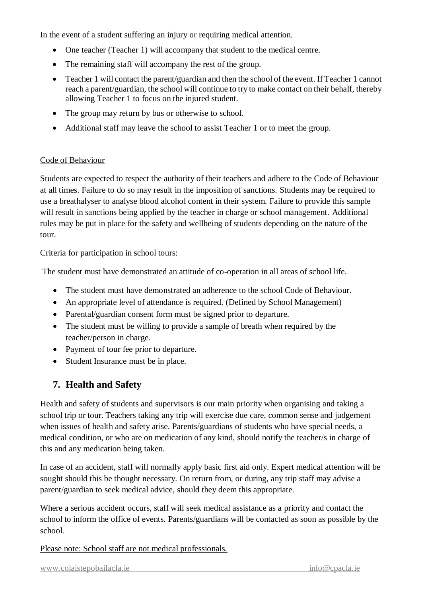In the event of a student suffering an injury or requiring medical attention.

- One teacher (Teacher 1) will accompany that student to the medical centre.
- The remaining staff will accompany the rest of the group.
- Teacher 1 will contact the parent/guardian and then the school of the event. If Teacher 1 cannot reach a parent/guardian, the school will continue to try to make contact on their behalf, thereby allowing Teacher 1 to focus on the injured student.
- The group may return by bus or otherwise to school.
- Additional staff may leave the school to assist Teacher 1 or to meet the group.

#### Code of Behaviour

Students are expected to respect the authority of their teachers and adhere to the Code of Behaviour at all times. Failure to do so may result in the imposition of sanctions. Students may be required to use a breathalyser to analyse blood alcohol content in their system. Failure to provide this sample will result in sanctions being applied by the teacher in charge or school management. Additional rules may be put in place for the safety and wellbeing of students depending on the nature of the tour.

#### Criteria for participation in school tours:

The student must have demonstrated an attitude of co-operation in all areas of school life.

- The student must have demonstrated an adherence to the school Code of Behaviour.
- An appropriate level of attendance is required. (Defined by School Management)
- Parental/guardian consent form must be signed prior to departure.
- The student must be willing to provide a sample of breath when required by the teacher/person in charge.
- Payment of tour fee prior to departure.
- Student Insurance must be in place.

# **7. Health and Safety**

Health and safety of students and supervisors is our main priority when organising and taking a school trip or tour. Teachers taking any trip will exercise due care, common sense and judgement when issues of health and safety arise. Parents/guardians of students who have special needs, a medical condition, or who are on medication of any kind, should notify the teacher/s in charge of this and any medication being taken.

In case of an accident, staff will normally apply basic first aid only. Expert medical attention will be sought should this be thought necessary. On return from, or during, any trip staff may advise a parent/guardian to seek medical advice, should they deem this appropriate.

Where a serious accident occurs, staff will seek medical assistance as a priority and contact the school to inform the office of events. Parents/guardians will be contacted as soon as possible by the school.

Please note: School staff are not medical professionals.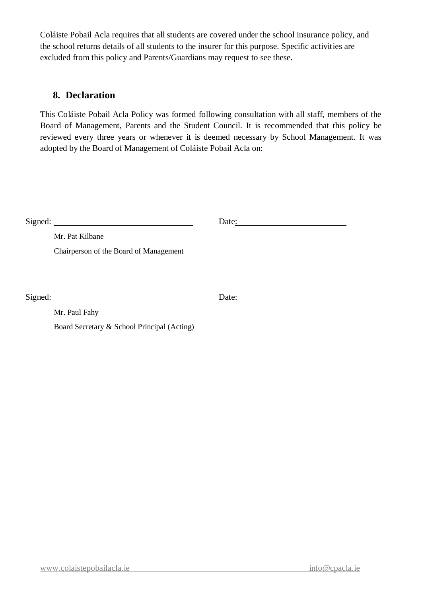Coláiste Pobail Acla requires that all students are covered under the school insurance policy, and the school returns details of all students to the insurer for this purpose. Specific activities are excluded from this policy and Parents/Guardians may request to see these.

#### **8. Declaration**

This Coláiste Pobail Acla Policy was formed following consultation with all staff, members of the Board of Management, Parents and the Student Council. It is recommended that this policy be reviewed every three years or whenever it is deemed necessary by School Management. It was adopted by the Board of Management of Coláiste Pobail Acla on:

|  |                                             | Date: $\qquad \qquad$        |
|--|---------------------------------------------|------------------------------|
|  | Mr. Pat Kilbane                             |                              |
|  | Chairperson of the Board of Management      |                              |
|  |                                             |                              |
|  |                                             |                              |
|  |                                             | Date: $\qquad \qquad \qquad$ |
|  | Mr. Paul Fahy                               |                              |
|  | Board Secretary & School Principal (Acting) |                              |
|  |                                             |                              |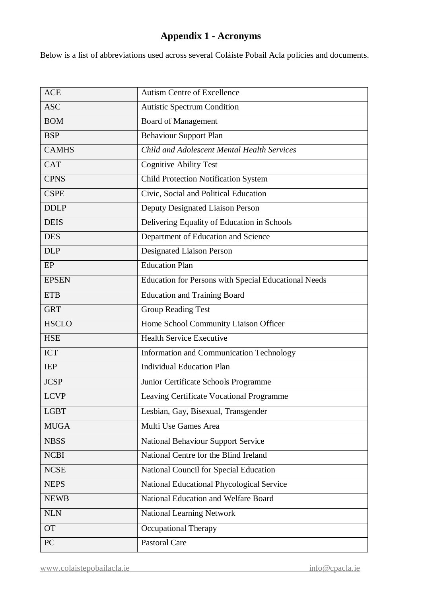# **Appendix 1 - Acronyms**

Below is a list of abbreviations used across several Coláiste Pobail Acla policies and documents.

| <b>ASC</b><br><b>Autistic Spectrum Condition</b><br><b>Board of Management</b><br><b>BOM</b><br><b>Behaviour Support Plan</b><br><b>BSP</b><br><b>CAMHS</b><br>Child and Adolescent Mental Health Services<br><b>CAT</b><br><b>Cognitive Ability Test</b><br><b>CPNS</b><br><b>Child Protection Notification System</b><br>Civic, Social and Political Education<br><b>CSPE</b><br>Deputy Designated Liaison Person<br><b>DDLP</b><br>Delivering Equality of Education in Schools<br><b>DEIS</b><br>Department of Education and Science<br><b>DES</b><br><b>Designated Liaison Person</b><br><b>DLP</b><br><b>Education Plan</b><br>EP<br><b>Education for Persons with Special Educational Needs</b><br><b>EPSEN</b><br><b>ETB</b><br><b>Education and Training Board</b><br><b>GRT</b><br><b>Group Reading Test</b><br>Home School Community Liaison Officer<br><b>HSCLO</b><br><b>Health Service Executive</b><br><b>HSE</b><br>Information and Communication Technology<br><b>ICT</b><br><b>Individual Education Plan</b><br><b>IEP</b><br><b>JCSP</b><br>Junior Certificate Schools Programme<br><b>LCVP</b><br>Leaving Certificate Vocational Programme<br><b>LGBT</b><br>Lesbian, Gay, Bisexual, Transgender<br>Multi Use Games Area<br><b>MUGA</b><br><b>National Behaviour Support Service</b><br><b>NBSS</b> |
|------------------------------------------------------------------------------------------------------------------------------------------------------------------------------------------------------------------------------------------------------------------------------------------------------------------------------------------------------------------------------------------------------------------------------------------------------------------------------------------------------------------------------------------------------------------------------------------------------------------------------------------------------------------------------------------------------------------------------------------------------------------------------------------------------------------------------------------------------------------------------------------------------------------------------------------------------------------------------------------------------------------------------------------------------------------------------------------------------------------------------------------------------------------------------------------------------------------------------------------------------------------------------------------------------------------------|
|                                                                                                                                                                                                                                                                                                                                                                                                                                                                                                                                                                                                                                                                                                                                                                                                                                                                                                                                                                                                                                                                                                                                                                                                                                                                                                                        |
|                                                                                                                                                                                                                                                                                                                                                                                                                                                                                                                                                                                                                                                                                                                                                                                                                                                                                                                                                                                                                                                                                                                                                                                                                                                                                                                        |
|                                                                                                                                                                                                                                                                                                                                                                                                                                                                                                                                                                                                                                                                                                                                                                                                                                                                                                                                                                                                                                                                                                                                                                                                                                                                                                                        |
|                                                                                                                                                                                                                                                                                                                                                                                                                                                                                                                                                                                                                                                                                                                                                                                                                                                                                                                                                                                                                                                                                                                                                                                                                                                                                                                        |
|                                                                                                                                                                                                                                                                                                                                                                                                                                                                                                                                                                                                                                                                                                                                                                                                                                                                                                                                                                                                                                                                                                                                                                                                                                                                                                                        |
|                                                                                                                                                                                                                                                                                                                                                                                                                                                                                                                                                                                                                                                                                                                                                                                                                                                                                                                                                                                                                                                                                                                                                                                                                                                                                                                        |
|                                                                                                                                                                                                                                                                                                                                                                                                                                                                                                                                                                                                                                                                                                                                                                                                                                                                                                                                                                                                                                                                                                                                                                                                                                                                                                                        |
|                                                                                                                                                                                                                                                                                                                                                                                                                                                                                                                                                                                                                                                                                                                                                                                                                                                                                                                                                                                                                                                                                                                                                                                                                                                                                                                        |
|                                                                                                                                                                                                                                                                                                                                                                                                                                                                                                                                                                                                                                                                                                                                                                                                                                                                                                                                                                                                                                                                                                                                                                                                                                                                                                                        |
|                                                                                                                                                                                                                                                                                                                                                                                                                                                                                                                                                                                                                                                                                                                                                                                                                                                                                                                                                                                                                                                                                                                                                                                                                                                                                                                        |
|                                                                                                                                                                                                                                                                                                                                                                                                                                                                                                                                                                                                                                                                                                                                                                                                                                                                                                                                                                                                                                                                                                                                                                                                                                                                                                                        |
|                                                                                                                                                                                                                                                                                                                                                                                                                                                                                                                                                                                                                                                                                                                                                                                                                                                                                                                                                                                                                                                                                                                                                                                                                                                                                                                        |
|                                                                                                                                                                                                                                                                                                                                                                                                                                                                                                                                                                                                                                                                                                                                                                                                                                                                                                                                                                                                                                                                                                                                                                                                                                                                                                                        |
|                                                                                                                                                                                                                                                                                                                                                                                                                                                                                                                                                                                                                                                                                                                                                                                                                                                                                                                                                                                                                                                                                                                                                                                                                                                                                                                        |
|                                                                                                                                                                                                                                                                                                                                                                                                                                                                                                                                                                                                                                                                                                                                                                                                                                                                                                                                                                                                                                                                                                                                                                                                                                                                                                                        |
|                                                                                                                                                                                                                                                                                                                                                                                                                                                                                                                                                                                                                                                                                                                                                                                                                                                                                                                                                                                                                                                                                                                                                                                                                                                                                                                        |
|                                                                                                                                                                                                                                                                                                                                                                                                                                                                                                                                                                                                                                                                                                                                                                                                                                                                                                                                                                                                                                                                                                                                                                                                                                                                                                                        |
|                                                                                                                                                                                                                                                                                                                                                                                                                                                                                                                                                                                                                                                                                                                                                                                                                                                                                                                                                                                                                                                                                                                                                                                                                                                                                                                        |
|                                                                                                                                                                                                                                                                                                                                                                                                                                                                                                                                                                                                                                                                                                                                                                                                                                                                                                                                                                                                                                                                                                                                                                                                                                                                                                                        |
|                                                                                                                                                                                                                                                                                                                                                                                                                                                                                                                                                                                                                                                                                                                                                                                                                                                                                                                                                                                                                                                                                                                                                                                                                                                                                                                        |
|                                                                                                                                                                                                                                                                                                                                                                                                                                                                                                                                                                                                                                                                                                                                                                                                                                                                                                                                                                                                                                                                                                                                                                                                                                                                                                                        |
|                                                                                                                                                                                                                                                                                                                                                                                                                                                                                                                                                                                                                                                                                                                                                                                                                                                                                                                                                                                                                                                                                                                                                                                                                                                                                                                        |
|                                                                                                                                                                                                                                                                                                                                                                                                                                                                                                                                                                                                                                                                                                                                                                                                                                                                                                                                                                                                                                                                                                                                                                                                                                                                                                                        |
|                                                                                                                                                                                                                                                                                                                                                                                                                                                                                                                                                                                                                                                                                                                                                                                                                                                                                                                                                                                                                                                                                                                                                                                                                                                                                                                        |
| National Centre for the Blind Ireland<br><b>NCBI</b>                                                                                                                                                                                                                                                                                                                                                                                                                                                                                                                                                                                                                                                                                                                                                                                                                                                                                                                                                                                                                                                                                                                                                                                                                                                                   |
| <b>NCSE</b><br>National Council for Special Education                                                                                                                                                                                                                                                                                                                                                                                                                                                                                                                                                                                                                                                                                                                                                                                                                                                                                                                                                                                                                                                                                                                                                                                                                                                                  |
| National Educational Phycological Service<br><b>NEPS</b>                                                                                                                                                                                                                                                                                                                                                                                                                                                                                                                                                                                                                                                                                                                                                                                                                                                                                                                                                                                                                                                                                                                                                                                                                                                               |
| National Education and Welfare Board<br><b>NEWB</b>                                                                                                                                                                                                                                                                                                                                                                                                                                                                                                                                                                                                                                                                                                                                                                                                                                                                                                                                                                                                                                                                                                                                                                                                                                                                    |
| <b>NLN</b><br><b>National Learning Network</b>                                                                                                                                                                                                                                                                                                                                                                                                                                                                                                                                                                                                                                                                                                                                                                                                                                                                                                                                                                                                                                                                                                                                                                                                                                                                         |
| <b>Occupational Therapy</b><br><b>OT</b>                                                                                                                                                                                                                                                                                                                                                                                                                                                                                                                                                                                                                                                                                                                                                                                                                                                                                                                                                                                                                                                                                                                                                                                                                                                                               |
| PC<br><b>Pastoral Care</b>                                                                                                                                                                                                                                                                                                                                                                                                                                                                                                                                                                                                                                                                                                                                                                                                                                                                                                                                                                                                                                                                                                                                                                                                                                                                                             |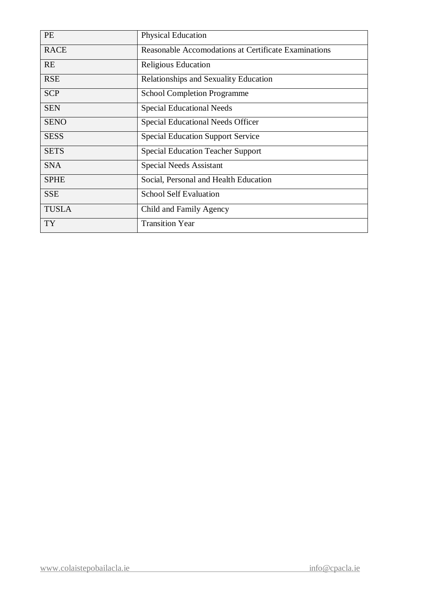| <b>PE</b>    | Physical Education                                   |
|--------------|------------------------------------------------------|
| <b>RACE</b>  | Reasonable Accomodations at Certificate Examinations |
| <b>RE</b>    | Religious Education                                  |
| <b>RSE</b>   | Relationships and Sexuality Education                |
| <b>SCP</b>   | <b>School Completion Programme</b>                   |
| <b>SEN</b>   | <b>Special Educational Needs</b>                     |
| <b>SENO</b>  | Special Educational Needs Officer                    |
| <b>SESS</b>  | <b>Special Education Support Service</b>             |
| <b>SETS</b>  | <b>Special Education Teacher Support</b>             |
| <b>SNA</b>   | <b>Special Needs Assistant</b>                       |
| <b>SPHE</b>  | Social, Personal and Health Education                |
| <b>SSE</b>   | <b>School Self Evaluation</b>                        |
| <b>TUSLA</b> | Child and Family Agency                              |
| <b>TY</b>    | <b>Transition Year</b>                               |